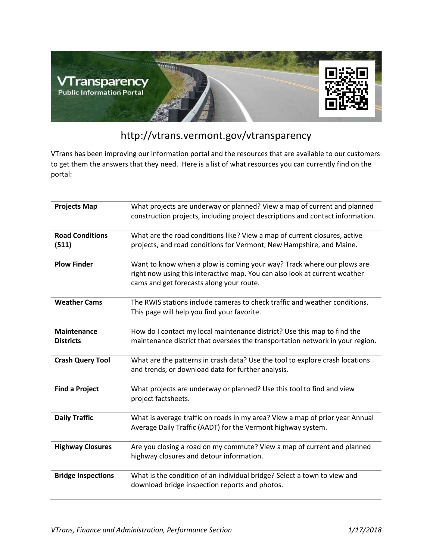

## http://vtrans.vermont.gov/vtransparency

VTrans has been improving our information portal and the resources that are available to our customers to get them the answers that they need. Here is a list of what resources you can currently find on the portal:

| <b>Projects Map</b>                    | What projects are underway or planned? View a map of current and planned<br>construction projects, including project descriptions and contact information.                                       |
|----------------------------------------|--------------------------------------------------------------------------------------------------------------------------------------------------------------------------------------------------|
| <b>Road Conditions</b><br>(511)        | What are the road conditions like? View a map of current closures, active<br>projects, and road conditions for Vermont, New Hampshire, and Maine.                                                |
| <b>Plow Finder</b>                     | Want to know when a plow is coming your way? Track where our plows are<br>right now using this interactive map. You can also look at current weather<br>cams and get forecasts along your route. |
| <b>Weather Cams</b>                    | The RWIS stations include cameras to check traffic and weather conditions.<br>This page will help you find your favorite.                                                                        |
| <b>Maintenance</b><br><b>Districts</b> | How do I contact my local maintenance district? Use this map to find the<br>maintenance district that oversees the transportation network in your region.                                        |
| <b>Crash Query Tool</b>                | What are the patterns in crash data? Use the tool to explore crash locations<br>and trends, or download data for further analysis.                                                               |
| <b>Find a Project</b>                  | What projects are underway or planned? Use this tool to find and view<br>project factsheets.                                                                                                     |
| <b>Daily Traffic</b>                   | What is average traffic on roads in my area? View a map of prior year Annual<br>Average Daily Traffic (AADT) for the Vermont highway system.                                                     |
| <b>Highway Closures</b>                | Are you closing a road on my commute? View a map of current and planned<br>highway closures and detour information.                                                                              |
| <b>Bridge Inspections</b>              | What is the condition of an individual bridge? Select a town to view and<br>download bridge inspection reports and photos.                                                                       |